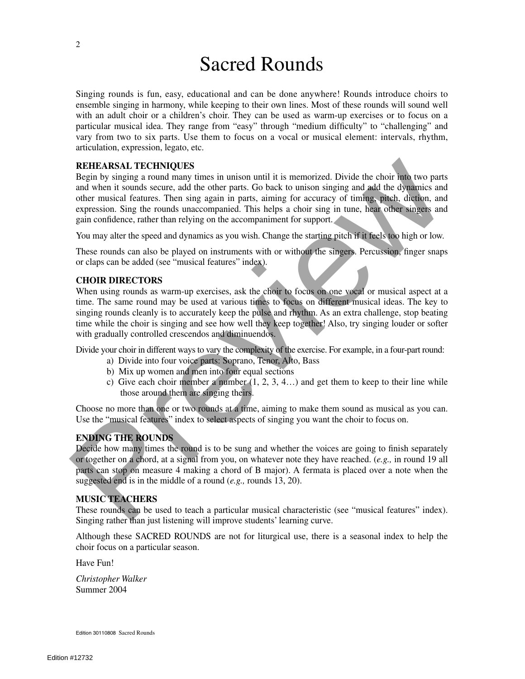# Sacred Rounds

Singing rounds is fun, easy, educational and can be done anywhere! Rounds introduce choirs to ensemble singing in harmony, while keeping to their own lines. Most of these rounds will sound well with an adult choir or a children's choir. They can be used as warm-up exercises or to focus on a particular musical idea. They range from "easy" through "medium difficulty" to "challenging" and vary from two to six parts. Use them to focus on a vocal or musical element: intervals, rhythm, articulation, expression, legato, etc.

#### **REHEARSAL TECHNIQUES**

Begin by singing a round many times in unison until it is memorized. Divide the choir into two parts and when it sounds secure, add the other parts. Go back to unison singing and add the dynamics and other musical features. Then sing again in parts, aiming for accuracy of timing, pitch, diction, and expression. Sing the rounds unaccompanied. This helps a choir sing in tune, hear other singers and gain confidence, rather than relying on the accompaniment for support. REHTARYANT. THCHINIQUES<br>
Regin by singing a round many times in unison until it is memorized. Divide the choir too two parts<br>
and when it sounds secure, and the other parts, Go back to unison singing and add the dynamics

You may alter the speed and dynamics as you wish. Change the starting pitch if it feels too high or low.

These rounds can also be played on instruments with or without the singers. Percussion, finger snaps or claps can be added (see "musical features" index).

#### **CHOIR DIRECTORS**

When using rounds as warm-up exercises, ask the choir to focus on one vocal or musical aspect at a time. The same round may be used at various times to focus on different musical ideas. The key to singing rounds cleanly is to accurately keep the pulse and rhythm. As an extra challenge, stop beating time while the choir is singing and see how well they keep together! Also, try singing louder or softer with gradually controlled crescendos and diminuendos.

Divide your choir in different ways to vary the complexity of the exercise. For example, in a four-part round:

- a) Divide into four voice parts: Soprano, Tenor, Alto, Bass
- b) Mix up women and men into four equal sections
- c) Give each choir member a number  $(1, 2, 3, 4...)$  and get them to keep to their line while those around them are singing theirs.

Choose no more than one or two rounds at a time, aiming to make them sound as musical as you can. Use the "musical features" index to select aspects of singing you want the choir to focus on.

#### **ENDING THE ROUNDS**

Decide how many times the round is to be sung and whether the voices are going to finish separately or together on a chord, at a signal from you, on whatever note they have reached. (*e.g.,* in round 19 all parts can stop on measure 4 making a chord of B major). A fermata is placed over a note when the suggested end is in the middle of a round (*e.g.,* rounds 13, 20).

#### **MUSIC TEACHERS**

These rounds can be used to teach a particular musical characteristic (see "musical features" index). Singing rather than just listening will improve students' learning curve.

Although these SACRED ROUNDS are not for liturgical use, there is a seasonal index to help the choir focus on a particular season.

Have Fun!

*Christopher Walker* Summer 2004

Edition 30110808 Sacred Rounds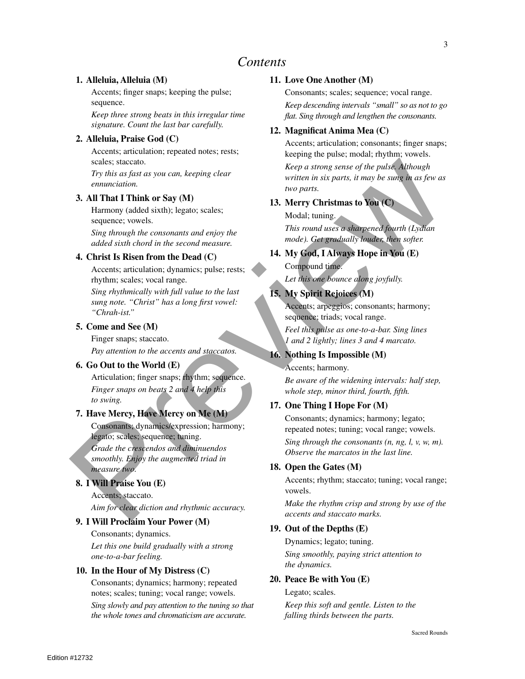### *Contents*

#### **1. Alleluia, Alleluia (M)**

Accents; finger snaps; keeping the pulse; sequence.

*Keep three strong beats in this irregular time signature. Count the last bar carefully.*

#### **2. Alleluia, Praise God (C)**

Accents; articulation; repeated notes; rests; scales; staccato.

*Try this as fast as you can, keeping clear ennunciation.*

#### **3. All That I Think or Say (M)**

Harmony (added sixth); legato; scales; sequence; vowels.

*Sing through the consonants and enjoy the added sixth chord in the second measure.*

#### **4. Christ Is Risen from the Dead (C)**

Accents; articulation; dynamics; pulse; rests; rhythm; scales; vocal range.

*Sing rhythmically with full value to the last sung note. "Christ" has a long first vowel: "Chrah-ist."*

#### **5. Come and See (M)**

Finger snaps; staccato.

*Pay attention to the accents and staccatos.*

#### **6. Go Out to the World (E)**

Articulation; finger snaps; rhythm; sequence. *Finger snaps on beats 2 and 4 help this to swing.*

#### **7. Have Mercy, Have Mercy on Me (M)**

Consonants; dynamics/expression; harmony; legato; scales; sequence; tuning.

*Grade the crescendos and diminuendos smoothly. Enjoy the augmented triad in measure two.*

#### **8. I Will Praise You (E)**

Accents; staccato.

*Aim for clear diction and rhythmic accuracy.*

#### **9. I Will Proclaim Your Power (M)**

Consonants; dynamics. *Let this one build gradually with a strong one-to-a-bar feeling.*

#### **10. In the Hour of My Distress (C)**

Consonants; dynamics; harmony; repeated notes; scales; tuning; vocal range; vowels.

*Sing slowly and pay attention to the tuning so that the whole tones and chromaticism are accurate.*

#### **11. Love One Another (M)**

Consonants; scales; sequence; vocal range. *Keep descending intervals "small" so as not to go flat. Sing through and lengthen the consonants.*

#### **12. Magnificat Anima Mea (C)**

Accents; articulation; consonants; finger snaps; keeping the pulse; modal; rhythm; vowels. *Keep a strong sense of the pulse. Although written in six parts, it may be sung in as few as two parts.*

#### **13. Merry Christmas to You (C)**

Modal; tuning. *This round uses a sharpened fourth (Lydian mode). Get gradually louder, then softer.*

#### **14. My God, I Always Hope in You (E)** Compound time.

*Let this one bounce along joyfully.*

#### **15. My Spirit Rejoices (M)**

Accents; arpeggios; consonants; harmony; sequence; triads; vocal range.

*Feel this pulse as one-to-a-bar. Sing lines 1 and 2 lightly; lines 3 and 4 marcato.*

#### **16. Nothing Is Impossible (M)**

Accents; harmony.

*Be aware of the widening intervals: half step, whole step, minor third, fourth, fifth.*

#### **17. One Thing I Hope For (M)**

Consonants; dynamics; harmony; legato; repeated notes; tuning; vocal range; vowels. *Sing through the consonants (n, ng, l, v, w, m). Observe the marcatos in the last line.* scales staced to the pulse stace of the pulse Minough<br>
Pry his as fact as you can, keeping clear<br>
entimetation.<br>
The binary calcular state of the particular in the state of the pulse of the pulse<br>
SA IIITMI TThink or Say

#### **18. Open the Gates (M)**

Accents; rhythm; staccato; tuning; vocal range; vowels.

*Make the rhythm crisp and strong by use of the accents and staccato marks.*

#### **19. Out of the Depths (E)**

Dynamics; legato; tuning. *Sing smoothly, paying strict attention to the dynamics.*

#### **20. Peace Be with You (E)**

Legato; scales.

*Keep this soft and gentle. Listen to the falling thirds between the parts.*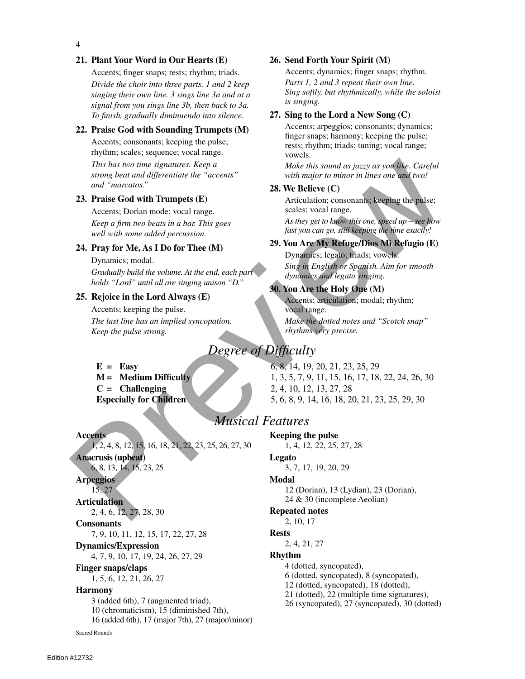#### **21. Plant Your Word in Our Hearts (E)**

Accents; finger snaps; rests; rhythm; triads.

*Divide the choir into three parts. 1 and 2 keep singing their own line. 3 sings line 3a and at a signal from you sings line 3b, then back to 3a. To finish, gradually diminuendo into silence.*

#### **22. Praise God with Sounding Trumpets (M)**

Accents; consonants; keeping the pulse; rhythm; scales; sequence; vocal range.

*This has two time signatures. Keep a strong beat and differentiate the "accents" and "marcatos."*

#### **23. Praise God with Trumpets (E)**

Accents; Dorian mode; vocal range. *Keep a firm two beats in a bar. This goes well with some added percussion.*

#### **24. Pray for Me, As I Do for Thee (M)**

Dynamics; modal.

*Gradually build the volume. At the end, each part holds "Lord" until all are singing unison "D."*

#### **25. Rejoice in the Lord Always (E)**

Accents; keeping the pulse. *The last line has an implied syncopation. Keep the pulse strong.*

- 
- 

#### **Accents**

1, 2, 4, 8, 12, 15, 16, 18, 21, 22, 23, 25, 26, 27, 30

**Anacrusis (upbeat)** 6, 8, 13, 14, 15, 23, 25

#### **Arpeggios**

15, 27

#### **Articulation**

2, 4, 6, 12, 27, 28, 30

#### **Consonants**

7, 9, 10, 11, 12, 15, 17, 22, 27, 28

#### **Dynamics/Expression**

4, 7, 9, 10, 17, 19, 24, 26, 27, 29

#### **Finger snaps/claps**

1, 5, 6, 12, 21, 26, 27

#### **Harmony**

 (added 6th), 7 (augmented triad), (chromaticism), 15 (diminished 7th), (added 6th), 17 (major 7th), 27 (major/minor) Sacred Rounds

#### **26. Send Forth Your Spirit (M)**

Accents; dynamics; finger snaps; rhythm. *Parts 1, 2 and 3 repeat their own line. Sing softly, but rhythmically, while the soloist is singing.*

#### **27. Sing to the Lord a New Song (C)**

Accents; arpeggios; consonants; dynamics; finger snaps; harmony; keeping the pulse; rests; rhythm; triads; tuning; vocal range; vowels.

*Make this sound as jazzy as you like. Careful with major to minor in lines one and two!*

#### **28. We Believe (C)**

Articulation; consonants; keeping the pulse; scales; vocal range.

*As they get to know this one, speed up – see how fast you can go, still keeping the time exactly!*

#### **29. You Are My Refuge/Dios Mi Refugio (E)**

Dynamics; legato; triads; vowels. *Sing in English or Spanish. Aim for smooth dynamics and legato singing.*

#### **30. You Are the Holy One (M)**

Accents; articulation; modal; rhythm; vocal range. *Make the dotted notes and "Scotch snap" rhythms very precise.*

### *Degree of Difficulty*

**E = Easy** 6, 8, 14, 19, 20, 21, 23, 25, 29 **M** = **Medium Difficulty** 1, 3, 5, 7, 9, 11, 15, 16, 17, 18, 22, 24, 26, 30 **C = Challenging** 2, 4, 10, 12, 13, 27, 28 **Especially for Children** 5, 6, 8, 9, 14, 16, 18, 20, 21, 23, 25, 29, 30 This has two time signatures. Keep a<br>
strong beat and differentiate the "accents" with major to minor in lines one and "marcatos."<br>
and "marcatos."<br>
23. Press Cod with Marmor Communication convenience is experiment to the

### *Musical Features*

#### **Keeping the pulse**

1, 4, 12, 22, 25, 27, 28

#### **Legato**

3, 7, 17, 19, 20, 29

#### **Modal**

12 (Dorian), 13 (Lydian), 23 (Dorian), 24 & 30 (incomplete Aeolian)

#### **Repeated notes**

2, 10, 17

#### **Rests**

2, 4, 21, 27

#### **Rhythm**

- 4 (dotted, syncopated),
- 6 (dotted, syncopated), 8 (syncopated),
- 12 (dotted, syncopated), 18 (dotted),
- 21 (dotted), 22 (multiple time signatures),
- 26 (syncopated), 27 (syncopated), 30 (dotted)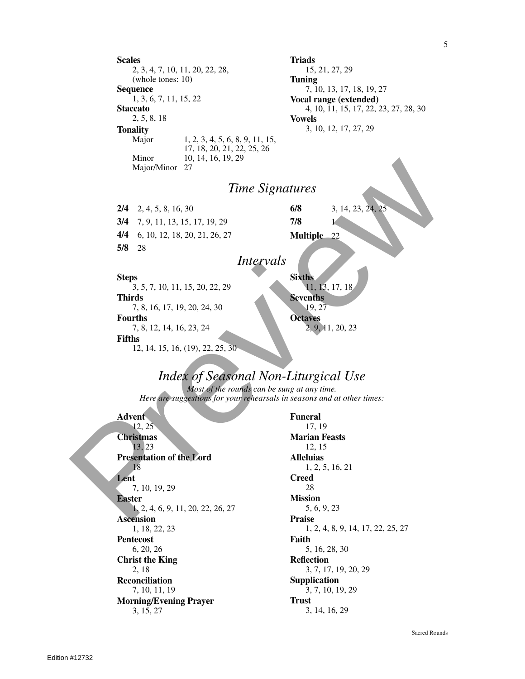**Scales** 2, 3, 4, 7, 10, 11, 20, 22, 28, (whole tones: 10) **Sequence** 1, 3, 6, 7, 11, 15, 22 **Staccato** 2, 5, 8, 18 **Triads** 15, 21, 27, 29 **Tuning** 7, 10, 13, 17, 18, 19, 27 **Vocal range (extended)** 4, 10, 11, 15, 17, 22, 23, 27, 28, 30 **Vowels Tonality** 3, 10, 12, 17, 27, 29 Major 1, 2, 3, 4, 5, 6, 8, 9, 11, 15, 17, 18, 20, 21, 22, 25, 26 Minor 10, 14, 16, 19, 29 Major/Minor 27 *Time Signatures* **2/4** 2, 4, 5, 8, 16, 30 **3/4** 7, 9, 11, 13, 15, 17, 19, 29 **6/8** 3, 14, 23, 24, 25 **7/8** 1 Mijor Sir and 12, 14, 15, 10, 11, 13, 20, 21, 22, 23, 30<br>
14 2, 4, 5, 8, 16, 30<br>
14 4 6, 10, 12, 18, 20, 21, 26, 27<br>
14 4 6, 10, 12, 18, 20, 21, 26, 27<br>
17 8, 18, 7, 10, 11, 15, 20, 22, 29<br>
17 8, 18, 17, 18, 19, 20, 24, 3

**4/4** 6, 10, 12, 18, 20, 21, 26, 27 **5/8** 28

# *Intervals*

### **Steps**

3, 5, 7, 10, 11, 15, 20, 22, 29 **Thirds** 7, 8, 16, 17, 19, 20, 24, 30 **Fourths** 7, 8, 12, 14, 16, 23, 24 **Fifths** 12, 14, 15, 16, (19), 22, 25, 30 **Sixths** 11, 13, 17, 18 **Sevenths** 19, 27 **Octaves** 2, 9, 11, 20, 23

**Multiple** 22

### *Index of Seasonal Non-Liturgical Use*

*Most of the rounds can be sung at any time. Here are suggestions for your rehearsals in seasons and at other times:*

**Advent** 12, 25 **Christmas** 13, 23 **Presentation of the Lord** 18 **Lent** 7, 10, 19, 29 **Easter** 1, 2, 4, 6, 9, 11, 20, 22, 26, 27 **Ascension** 1, 18, 22, 23 **Pentecost** 6, 20, 26 **Christ the King** 2, 18 **Reconciliation** 7, 10, 11, 19 **Morning/Evening Prayer** 3, 15, 27

**Funeral** 17, 19 **Marian Feasts** 12, 15 **Alleluias** 1, 2, 5, 16, 21 **Creed** 28 **Mission** 5, 6, 9, 23 **Praise** 1, 2, 4, 8, 9, 14, 17, 22, 25, 27 **Faith** 5, 16, 28, 30 **Reflection** 3, 7, 17, 19, 20, 29 **Supplication** 3, 7, 10, 19, 29 **Trust** 3, 14, 16, 29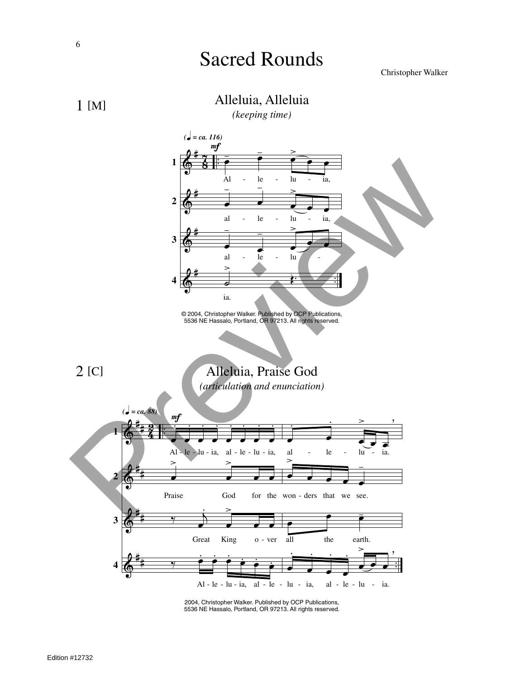# Sacred Rounds

#### Christopher Walker



*(keeping time)*



2004, Christopher Walker. Published by OCP Publications, 5536 NE Hassalo, Portland, OR 97213. All rights reserved.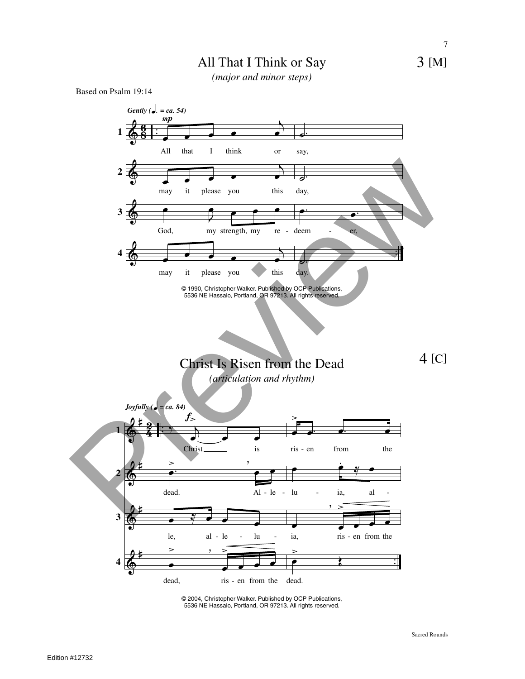### All That I Think or Say

*(major and minor steps)*

Based on Psalm 19:14



<sup>©</sup> 2004, Christopher Walker. Published by OCP Publications, 5536 NE Hassalo, Portland, OR 97213. All rights reserved.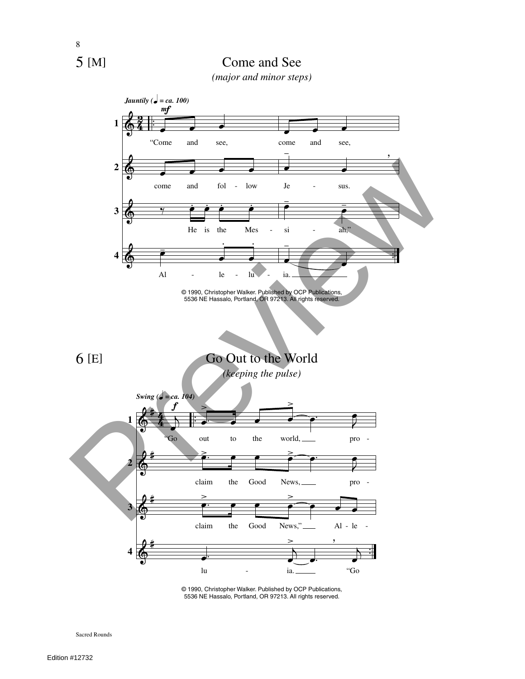

*(major and minor steps)*



<sup>©</sup> 1990, Christopher Walker. Published by OCP Publications, 5536 NE Hassalo, Portland, OR 97213. All rights reserved.

Sacred Rounds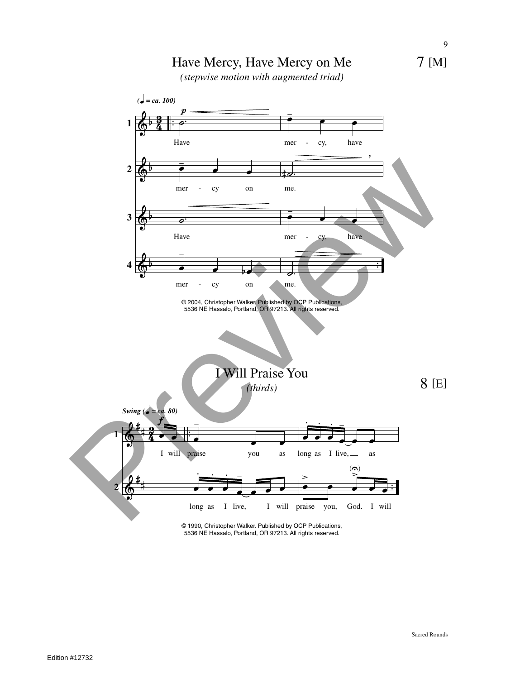





© 1990, Christopher Walker. Published by OCP Publications, 5536 NE Hassalo, Portland, OR 97213. All rights reserved.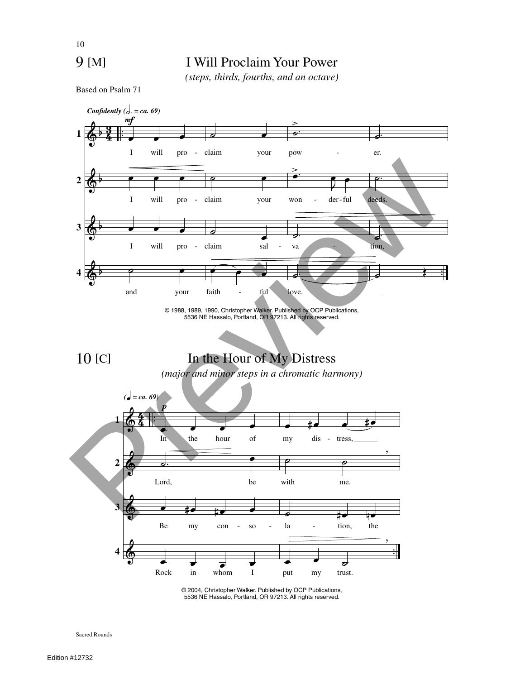### 9 [M]

10

### I Will Proclaim Your Power

*(steps, thirds, fourths, and an octave)*

Based on Psalm 71



<sup>©</sup> 2004, Christopher Walker. Published by OCP Publications, 5536 NE Hassalo, Portland, OR 97213. All rights reserved.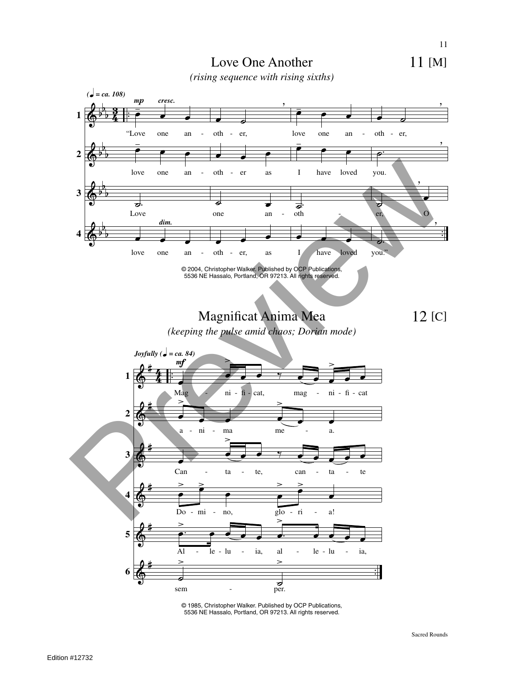11 [M]



*(rising sequence with rising sixths)*



© 1985, Christopher Walker. Published by OCP Publications, 5536 NE Hassalo, Portland, OR 97213. All rights reserved.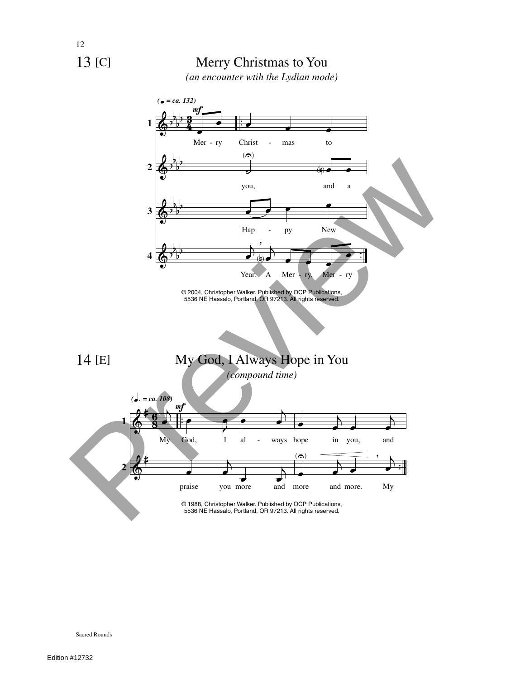

 $\Phi$ 

**4**

b b b b



© 2004, Christopher Walker. Published by OCP Publications, 5536 NE Hassalo, Portland, OR 97213. All rights reserved.

 $\overline{A}$ œ

,  $\frac{1}{\sqrt{2}}$ 

Year. A Mer - ry, Mer - ry

*(compound time)*

k  $\ddot{\cdot}$ 



<sup>5536</sup> NE Hassalo, Portland, OR 97213. All rights reserved.

14 [E]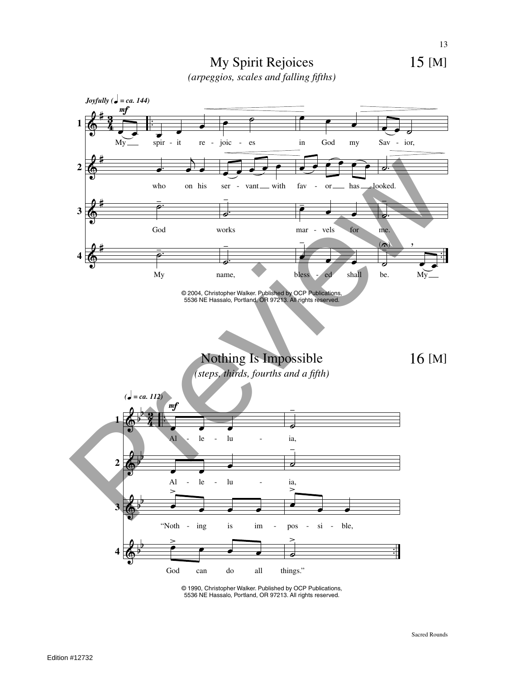

My Spirit Rejoices *(arpeggios, scales and falling fifths)*



© 1990, Christopher Walker. Published by OCP Publications, 5536 NE Hassalo, Portland, OR 97213. All rights reserved.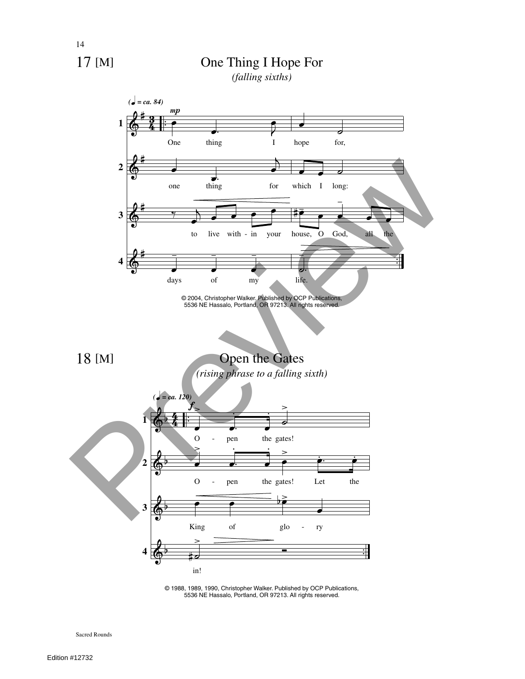

14

# One Thing I Hope For

*(falling sixths)*



<sup>©</sup> 1988, 1989, 1990, Christopher Walker. Published by OCP Publications, 5536 NE Hassalo, Portland, OR 97213. All rights reserved.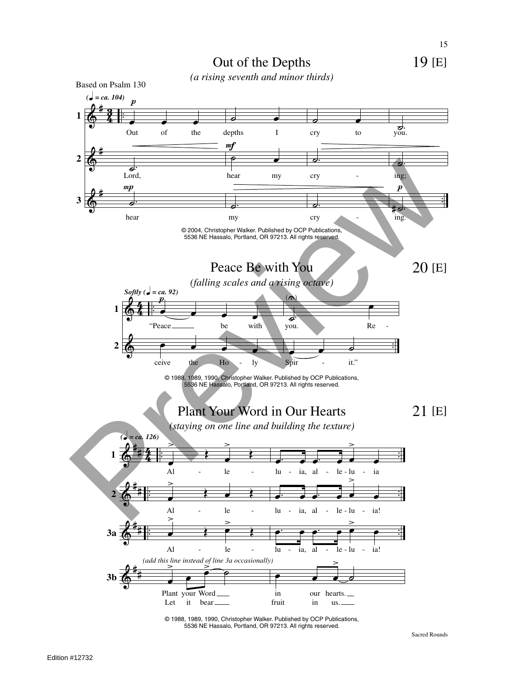

© 1988, 1989, 1990, Christopher Walker. Published by OCP Publications, 5536 NE Hassalo, Portland, OR 97213. All rights reserved.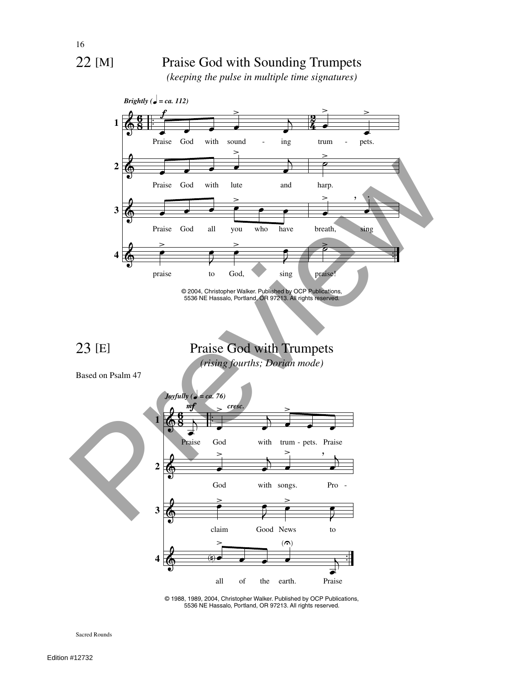16

### 22 [M]

### Praise God with Sounding Trumpets

*(keeping the pulse in multiple time signatures)*



<sup>©</sup> 1988, 1989, 2004, Christopher Walker. Published by OCP Publications, 5536 NE Hassalo, Portland, OR 97213. All rights reserved.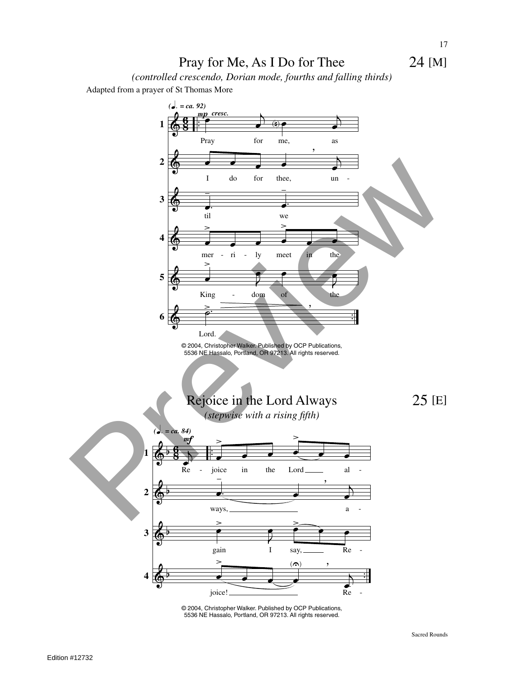### Pray for Me, As I Do for Thee

*(controlled crescendo, Dorian mode, fourths and falling thirds)*

Adapted from a prayer of St Thomas More



© 2004, Christopher Walker. Published by OCP Publications, 5536 NE Hassalo, Portland, OR 97213. All rights reserved.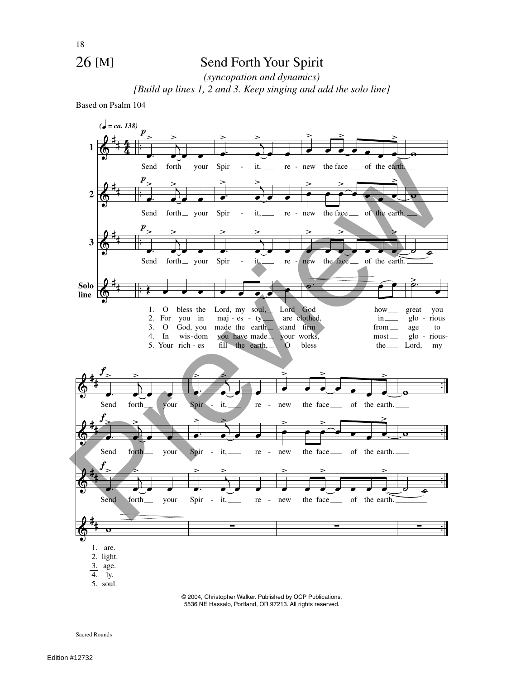### 26 [M]

### Send Forth Your Spirit

*(syncopation and dynamics) [Build up lines 1, 2 and 3. Keep singing and add the solo line]*

Based on Psalm 104



© 2004, Christopher Walker. Published by OCP Publications, 5536 NE Hassalo, Portland, OR 97213. All rights reserved.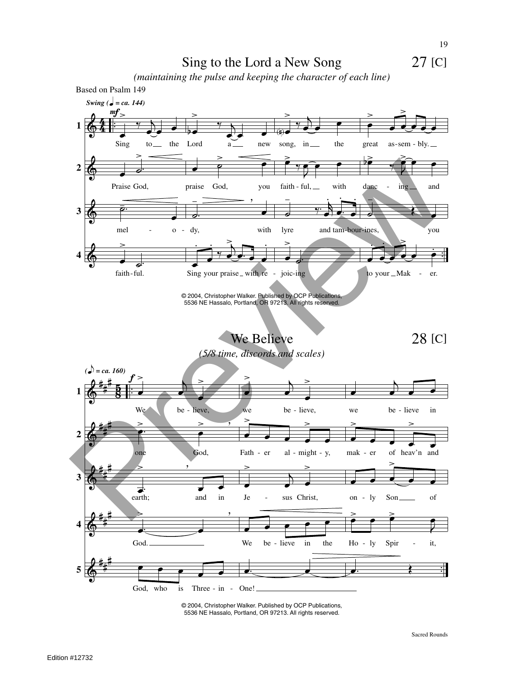27 [C]





© 2004, Christopher Walker. Published by OCP Publications, 5536 NE Hassalo, Portland, OR 97213. All rights reserved.